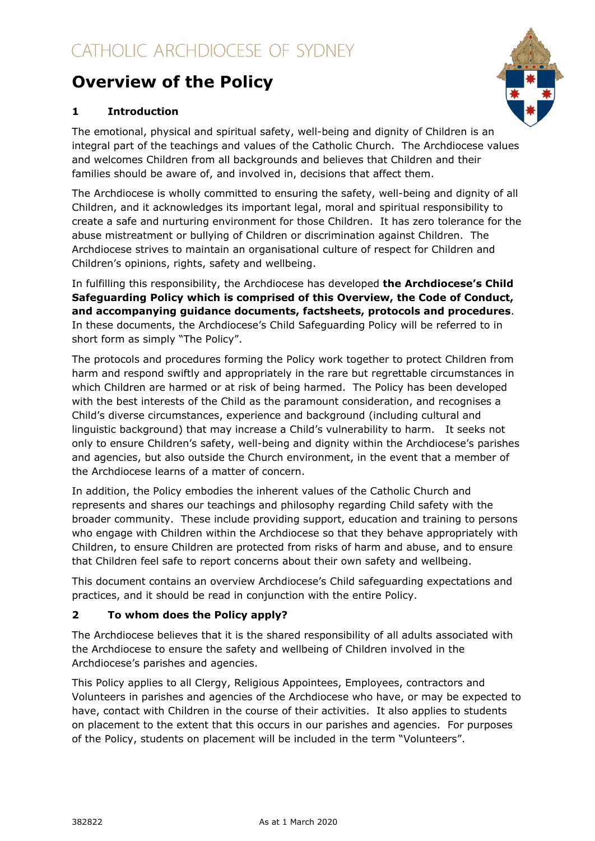# **Overview of the Policy**



# **1 Introduction**

The emotional, physical and spiritual safety, well-being and dignity of Children is an integral part of the teachings and values of the Catholic Church. The Archdiocese values and welcomes Children from all backgrounds and believes that Children and their families should be aware of, and involved in, decisions that affect them.

The Archdiocese is wholly committed to ensuring the safety, well-being and dignity of all Children, and it acknowledges its important legal, moral and spiritual responsibility to create a safe and nurturing environment for those Children. It has zero tolerance for the abuse mistreatment or bullying of Children or discrimination against Children. The Archdiocese strives to maintain an organisational culture of respect for Children and Children's opinions, rights, safety and wellbeing.

In fulfilling this responsibility, the Archdiocese has developed **the Archdiocese's Child Safeguarding Policy which is comprised of this Overview, the Code of Conduct, and accompanying guidance documents, factsheets, protocols and procedures**. In these documents, the Archdiocese's Child Safeguarding Policy will be referred to in short form as simply "The Policy".

The protocols and procedures forming the Policy work together to protect Children from harm and respond swiftly and appropriately in the rare but regrettable circumstances in which Children are harmed or at risk of being harmed. The Policy has been developed with the best interests of the Child as the paramount consideration, and recognises a Child's diverse circumstances, experience and background (including cultural and linguistic background) that may increase a Child's vulnerability to harm. It seeks not only to ensure Children's safety, well-being and dignity within the Archdiocese's parishes and agencies, but also outside the Church environment, in the event that a member of the Archdiocese learns of a matter of concern.

In addition, the Policy embodies the inherent values of the Catholic Church and represents and shares our teachings and philosophy regarding Child safety with the broader community. These include providing support, education and training to persons who engage with Children within the Archdiocese so that they behave appropriately with Children, to ensure Children are protected from risks of harm and abuse, and to ensure that Children feel safe to report concerns about their own safety and wellbeing.

This document contains an overview Archdiocese's Child safeguarding expectations and practices, and it should be read in conjunction with the entire Policy.

# **2 To whom does the Policy apply?**

The Archdiocese believes that it is the shared responsibility of all adults associated with the Archdiocese to ensure the safety and wellbeing of Children involved in the Archdiocese's parishes and agencies.

This Policy applies to all Clergy, Religious Appointees, Employees, contractors and Volunteers in parishes and agencies of the Archdiocese who have, or may be expected to have, contact with Children in the course of their activities. It also applies to students on placement to the extent that this occurs in our parishes and agencies. For purposes of the Policy, students on placement will be included in the term "Volunteers".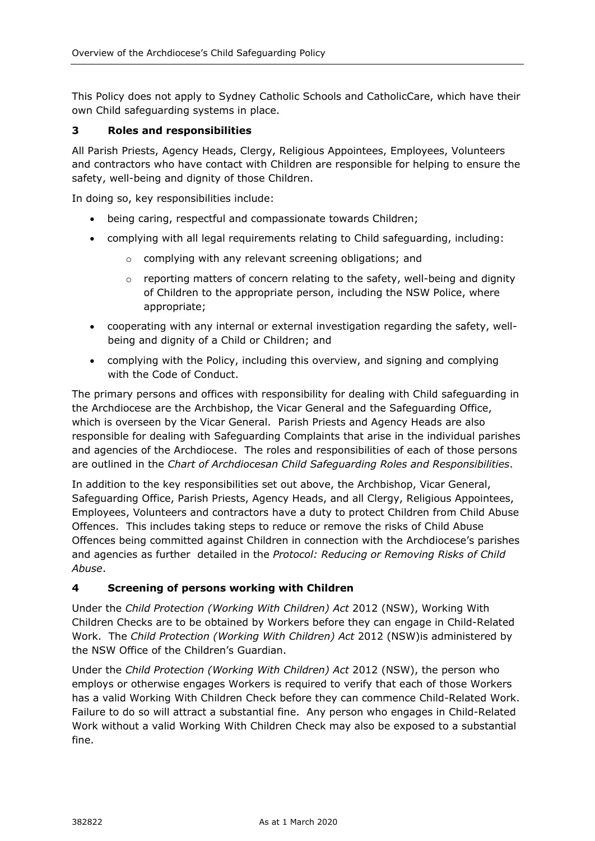This Policy does not apply to Sydney Catholic Schools and CatholicCare, which have their own Child safeguarding systems in place.

#### **3 Roles and responsibilities**

All Parish Priests, Agency Heads, Clergy, Religious Appointees, Employees, Volunteers and contractors who have contact with Children are responsible for helping to ensure the safety, well-being and dignity of those Children.

In doing so, key responsibilities include:

- being caring, respectful and compassionate towards Children;
- complying with all legal requirements relating to Child safeguarding, including:
	- o complying with any relevant screening obligations; and
	- $\circ$  reporting matters of concern relating to the safety, well-being and dignity of Children to the appropriate person, including the NSW Police, where appropriate;
- cooperating with any internal or external investigation regarding the safety, wellbeing and dignity of a Child or Children; and
- complying with the Policy, including this overview, and signing and complying with the Code of Conduct.

The primary persons and offices with responsibility for dealing with Child safeguarding in the Archdiocese are the Archbishop, the Vicar General and the Safeguarding Office, which is overseen by the Vicar General. Parish Priests and Agency Heads are also responsible for dealing with Safeguarding Complaints that arise in the individual parishes and agencies of the Archdiocese. The roles and responsibilities of each of those persons are outlined in the *Chart of Archdiocesan Child Safeguarding Roles and Responsibilities*.

In addition to the key responsibilities set out above, the Archbishop, Vicar General, Safeguarding Office, Parish Priests, Agency Heads, and all Clergy, Religious Appointees, Employees, Volunteers and contractors have a duty to protect Children from Child Abuse Offences. This includes taking steps to reduce or remove the risks of Child Abuse Offences being committed against Children in connection with the Archdiocese's parishes and agencies as further detailed in the *Protocol: Reducing or Removing Risks of Child Abuse*.

#### **4 Screening of persons working with Children**

Under the *Child Protection (Working With Children) Act* 2012 (NSW), Working With Children Checks are to be obtained by Workers before they can engage in Child-Related Work. The *Child Protection (Working With Children) Act* 2012 (NSW)is administered by the NSW Office of the Children's Guardian.

Under the *Child Protection (Working With Children) Act* 2012 (NSW), the person who employs or otherwise engages Workers is required to verify that each of those Workers has a valid Working With Children Check before they can commence Child-Related Work. Failure to do so will attract a substantial fine. Any person who engages in Child-Related Work without a valid Working With Children Check may also be exposed to a substantial fine.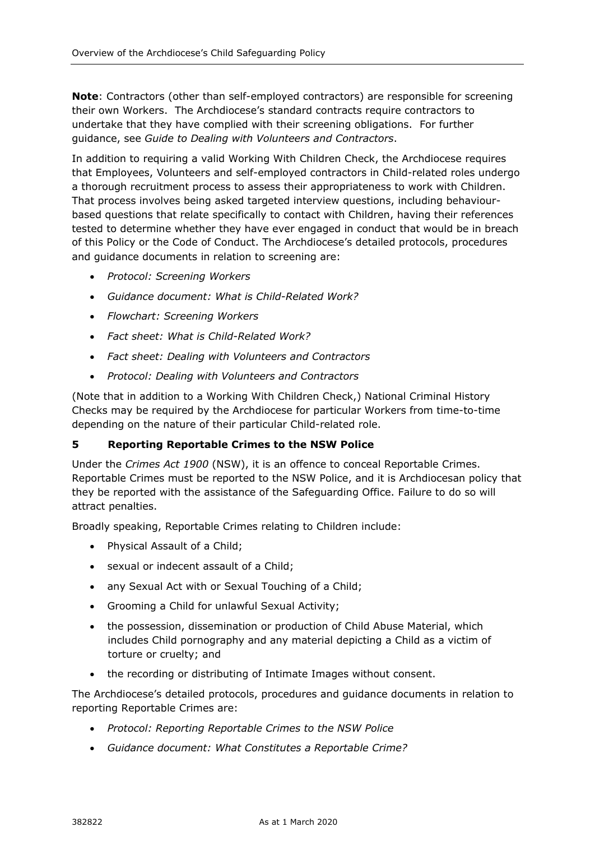**Note**: Contractors (other than self-employed contractors) are responsible for screening their own Workers. The Archdiocese's standard contracts require contractors to undertake that they have complied with their screening obligations. For further guidance, see *Guide to Dealing with Volunteers and Contractors*.

In addition to requiring a valid Working With Children Check, the Archdiocese requires that Employees, Volunteers and self-employed contractors in Child-related roles undergo a thorough recruitment process to assess their appropriateness to work with Children. That process involves being asked targeted interview questions, including behaviourbased questions that relate specifically to contact with Children, having their references tested to determine whether they have ever engaged in conduct that would be in breach of this Policy or the Code of Conduct. The Archdiocese's detailed protocols, procedures and guidance documents in relation to screening are:

- *Protocol: Screening Workers*
- *Guidance document: What is Child-Related Work?*
- *Flowchart: Screening Workers*
- *Fact sheet: What is Child-Related Work?*
- *Fact sheet: Dealing with Volunteers and Contractors*
- *Protocol: Dealing with Volunteers and Contractors*

(Note that in addition to a Working With Children Check,) National Criminal History Checks may be required by the Archdiocese for particular Workers from time-to-time depending on the nature of their particular Child-related role.

#### **5 Reporting Reportable Crimes to the NSW Police**

Under the *Crimes Act 1900* (NSW), it is an offence to conceal Reportable Crimes. Reportable Crimes must be reported to the NSW Police, and it is Archdiocesan policy that they be reported with the assistance of the Safeguarding Office. Failure to do so will attract penalties.

Broadly speaking, Reportable Crimes relating to Children include:

- Physical Assault of a Child;
- sexual or indecent assault of a Child;
- any Sexual Act with or Sexual Touching of a Child;
- Grooming a Child for unlawful Sexual Activity;
- the possession, dissemination or production of Child Abuse Material, which includes Child pornography and any material depicting a Child as a victim of torture or cruelty; and
- the recording or distributing of Intimate Images without consent.

The Archdiocese's detailed protocols, procedures and guidance documents in relation to reporting Reportable Crimes are:

- *Protocol: Reporting Reportable Crimes to the NSW Police*
- *Guidance document: What Constitutes a Reportable Crime?*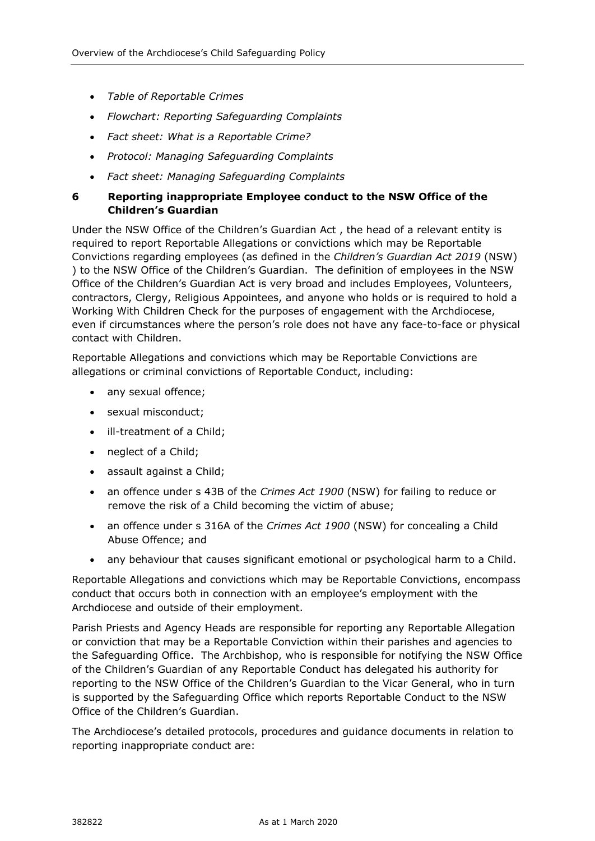- *Table of Reportable Crimes*
- *Flowchart: Reporting Safeguarding Complaints*
- *Fact sheet: What is a Reportable Crime?*
- *Protocol: Managing Safeguarding Complaints*
- *Fact sheet: Managing Safeguarding Complaints*

## **6 Reporting inappropriate Employee conduct to the NSW Office of the Children's Guardian**

Under the NSW Office of the Children's Guardian Act , the head of a relevant entity is required to report Reportable Allegations or convictions which may be Reportable Convictions regarding employees (as defined in the *Children's Guardian Act 2019* (NSW) ) to the NSW Office of the Children's Guardian. The definition of employees in the NSW Office of the Children's Guardian Act is very broad and includes Employees, Volunteers, contractors, Clergy, Religious Appointees, and anyone who holds or is required to hold a Working With Children Check for the purposes of engagement with the Archdiocese, even if circumstances where the person's role does not have any face-to-face or physical contact with Children.

Reportable Allegations and convictions which may be Reportable Convictions are allegations or criminal convictions of Reportable Conduct, including:

- any sexual offence;
- sexual misconduct;
- ill-treatment of a Child;
- neglect of a Child;
- assault against a Child;
- an offence under s 43B of the *Crimes Act 1900* (NSW) for failing to reduce or remove the risk of a Child becoming the victim of abuse;
- an offence under s 316A of the *Crimes Act 1900* (NSW) for concealing a Child Abuse Offence; and
- any behaviour that causes significant emotional or psychological harm to a Child.

Reportable Allegations and convictions which may be Reportable Convictions, encompass conduct that occurs both in connection with an employee's employment with the Archdiocese and outside of their employment.

Parish Priests and Agency Heads are responsible for reporting any Reportable Allegation or conviction that may be a Reportable Conviction within their parishes and agencies to the Safeguarding Office. The Archbishop, who is responsible for notifying the NSW Office of the Children's Guardian of any Reportable Conduct has delegated his authority for reporting to the NSW Office of the Children's Guardian to the Vicar General, who in turn is supported by the Safeguarding Office which reports Reportable Conduct to the NSW Office of the Children's Guardian.

The Archdiocese's detailed protocols, procedures and guidance documents in relation to reporting inappropriate conduct are: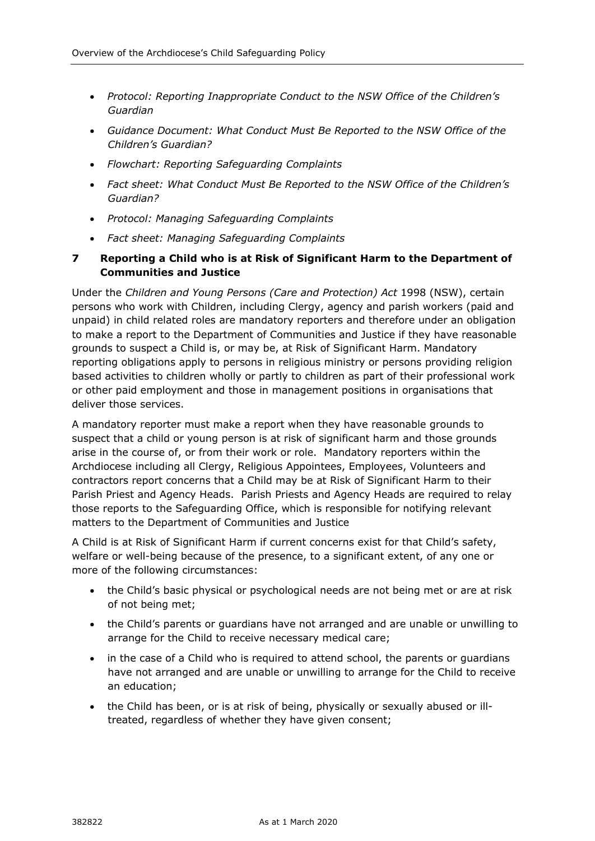- Protocol: Reporting Inappropriate Conduct to the NSW Office of the Children's *Guardian*
- *Guidance Document: What Conduct Must Be Reported to the NSW Office of the Children's Guardian?*
- *Flowchart: Reporting Safeguarding Complaints*
- *Fact sheet: What Conduct Must Be Reported to the NSW Office of the Children's Guardian?*
- *Protocol: Managing Safeguarding Complaints*
- *Fact sheet: Managing Safeguarding Complaints*

# **7 Reporting a Child who is at Risk of Significant Harm to the Department of Communities and Justice**

Under the *Children and Young Persons (Care and Protection) Act* 1998 (NSW), certain persons who work with Children, including Clergy, agency and parish workers (paid and unpaid) in child related roles are mandatory reporters and therefore under an obligation to make a report to the Department of Communities and Justice if they have reasonable grounds to suspect a Child is, or may be, at Risk of Significant Harm. Mandatory reporting obligations apply to persons in religious ministry or persons providing religion based activities to children wholly or partly to children as part of their professional work or other paid employment and those in management positions in organisations that deliver those services.

A mandatory reporter must make a report when they have reasonable grounds to suspect that a child or young person is at risk of significant harm and those grounds arise in the course of, or from their work or role. Mandatory reporters within the Archdiocese including all Clergy, Religious Appointees, Employees, Volunteers and contractors report concerns that a Child may be at Risk of Significant Harm to their Parish Priest and Agency Heads. Parish Priests and Agency Heads are required to relay those reports to the Safeguarding Office, which is responsible for notifying relevant matters to the Department of Communities and Justice

A Child is at Risk of Significant Harm if current concerns exist for that Child's safety, welfare or well-being because of the presence, to a significant extent, of any one or more of the following circumstances:

- the Child's basic physical or psychological needs are not being met or are at risk of not being met;
- the Child's parents or guardians have not arranged and are unable or unwilling to arrange for the Child to receive necessary medical care;
- in the case of a Child who is required to attend school, the parents or guardians have not arranged and are unable or unwilling to arrange for the Child to receive an education;
- the Child has been, or is at risk of being, physically or sexually abused or illtreated, regardless of whether they have given consent;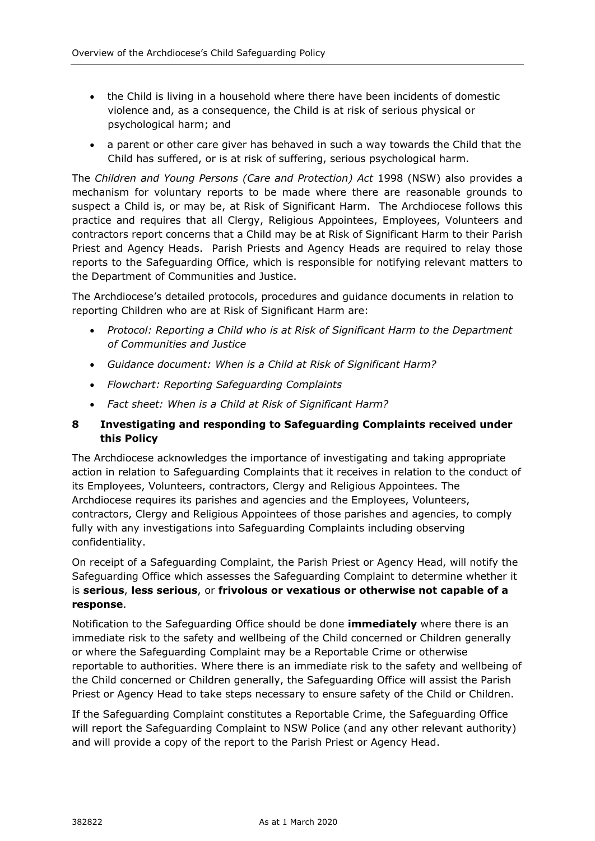- the Child is living in a household where there have been incidents of domestic violence and, as a consequence, the Child is at risk of serious physical or psychological harm; and
- a parent or other care giver has behaved in such a way towards the Child that the Child has suffered, or is at risk of suffering, serious psychological harm.

The *Children and Young Persons (Care and Protection) Act* 1998 (NSW) also provides a mechanism for voluntary reports to be made where there are reasonable grounds to suspect a Child is, or may be, at Risk of Significant Harm. The Archdiocese follows this practice and requires that all Clergy, Religious Appointees, Employees, Volunteers and contractors report concerns that a Child may be at Risk of Significant Harm to their Parish Priest and Agency Heads. Parish Priests and Agency Heads are required to relay those reports to the Safeguarding Office, which is responsible for notifying relevant matters to the Department of Communities and Justice.

The Archdiocese's detailed protocols, procedures and guidance documents in relation to reporting Children who are at Risk of Significant Harm are:

- *Protocol: Reporting a Child who is at Risk of Significant Harm to the Department of Communities and Justice*
- *Guidance document: When is a Child at Risk of Significant Harm?*
- *Flowchart: Reporting Safeguarding Complaints*
- *Fact sheet: When is a Child at Risk of Significant Harm?*

#### **8 Investigating and responding to Safeguarding Complaints received under this Policy**

The Archdiocese acknowledges the importance of investigating and taking appropriate action in relation to Safeguarding Complaints that it receives in relation to the conduct of its Employees, Volunteers, contractors, Clergy and Religious Appointees. The Archdiocese requires its parishes and agencies and the Employees, Volunteers, contractors, Clergy and Religious Appointees of those parishes and agencies, to comply fully with any investigations into Safeguarding Complaints including observing confidentiality.

On receipt of a Safeguarding Complaint, the Parish Priest or Agency Head, will notify the Safeguarding Office which assesses the Safeguarding Complaint to determine whether it is **serious**, **less serious**, or **frivolous or vexatious or otherwise not capable of a response**.

Notification to the Safeguarding Office should be done **immediately** where there is an immediate risk to the safety and wellbeing of the Child concerned or Children generally or where the Safeguarding Complaint may be a Reportable Crime or otherwise reportable to authorities. Where there is an immediate risk to the safety and wellbeing of the Child concerned or Children generally, the Safeguarding Office will assist the Parish Priest or Agency Head to take steps necessary to ensure safety of the Child or Children.

If the Safeguarding Complaint constitutes a Reportable Crime, the Safeguarding Office will report the Safeguarding Complaint to NSW Police (and any other relevant authority) and will provide a copy of the report to the Parish Priest or Agency Head.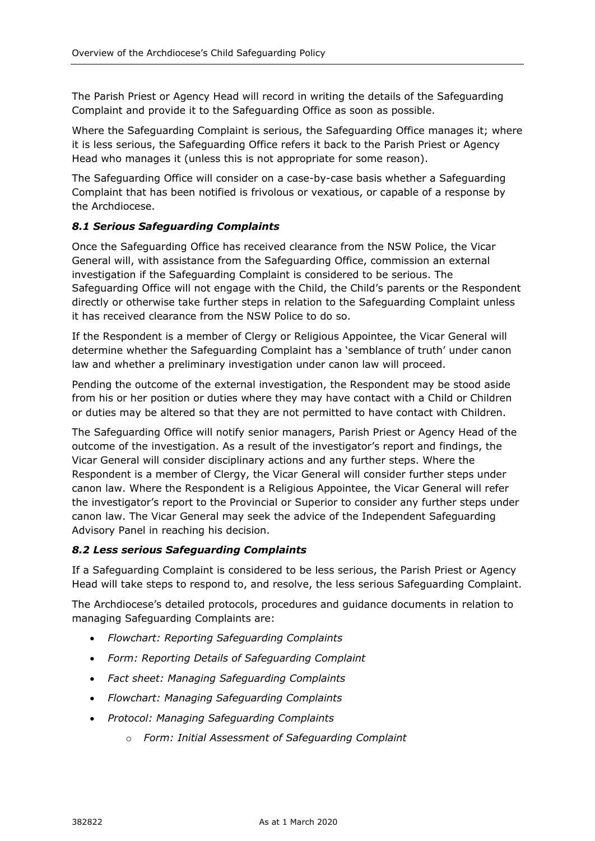The Parish Priest or Agency Head will record in writing the details of the Safeguarding Complaint and provide it to the Safeguarding Office as soon as possible.

Where the Safeguarding Complaint is serious, the Safeguarding Office manages it; where it is less serious, the Safeguarding Office refers it back to the Parish Priest or Agency Head who manages it (unless this is not appropriate for some reason).

The Safeguarding Office will consider on a case-by-case basis whether a Safeguarding Complaint that has been notified is frivolous or vexatious, or capable of a response by the Archdiocese.

#### *8.1 Serious Safeguarding Complaints*

Once the Safeguarding Office has received clearance from the NSW Police, the Vicar General will, with assistance from the Safeguarding Office, commission an external investigation if the Safeguarding Complaint is considered to be serious. The Safeguarding Office will not engage with the Child, the Child's parents or the Respondent directly or otherwise take further steps in relation to the Safeguarding Complaint unless it has received clearance from the NSW Police to do so.

If the Respondent is a member of Clergy or Religious Appointee, the Vicar General will determine whether the Safeguarding Complaint has a 'semblance of truth' under canon law and whether a preliminary investigation under canon law will proceed.

Pending the outcome of the external investigation, the Respondent may be stood aside from his or her position or duties where they may have contact with a Child or Children or duties may be altered so that they are not permitted to have contact with Children.

The Safeguarding Office will notify senior managers, Parish Priest or Agency Head of the outcome of the investigation. As a result of the investigator's report and findings, the Vicar General will consider disciplinary actions and any further steps. Where the Respondent is a member of Clergy, the Vicar General will consider further steps under canon law. Where the Respondent is a Religious Appointee, the Vicar General will refer the investigator's report to the Provincial or Superior to consider any further steps under canon law. The Vicar General may seek the advice of the Independent Safeguarding Advisory Panel in reaching his decision.

#### *8.2 Less serious Safeguarding Complaints*

If a Safeguarding Complaint is considered to be less serious, the Parish Priest or Agency Head will take steps to respond to, and resolve, the less serious Safeguarding Complaint.

The Archdiocese's detailed protocols, procedures and guidance documents in relation to managing Safeguarding Complaints are:

- *Flowchart: Reporting Safeguarding Complaints*
- *Form: Reporting Details of Safeguarding Complaint*
- *Fact sheet: Managing Safeguarding Complaints*
- *Flowchart: Managing Safeguarding Complaints*
- *Protocol: Managing Safeguarding Complaints* 
	- o *Form: Initial Assessment of Safeguarding Complaint*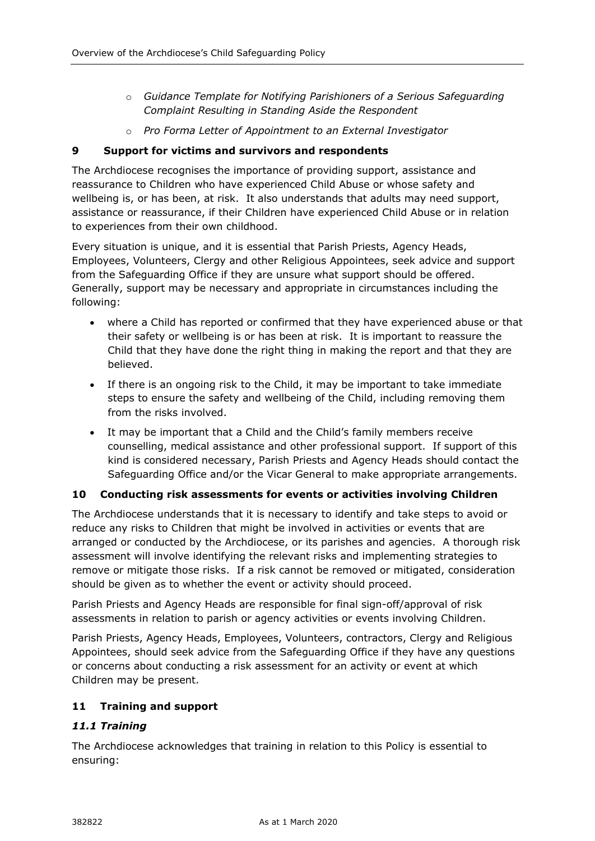- o *Guidance Template for Notifying Parishioners of a Serious Safeguarding Complaint Resulting in Standing Aside the Respondent*
- o *Pro Forma Letter of Appointment to an External Investigator*

## **9 Support for victims and survivors and respondents**

The Archdiocese recognises the importance of providing support, assistance and reassurance to Children who have experienced Child Abuse or whose safety and wellbeing is, or has been, at risk. It also understands that adults may need support, assistance or reassurance, if their Children have experienced Child Abuse or in relation to experiences from their own childhood.

Every situation is unique, and it is essential that Parish Priests, Agency Heads, Employees, Volunteers, Clergy and other Religious Appointees, seek advice and support from the Safeguarding Office if they are unsure what support should be offered. Generally, support may be necessary and appropriate in circumstances including the following:

- where a Child has reported or confirmed that they have experienced abuse or that their safety or wellbeing is or has been at risk. It is important to reassure the Child that they have done the right thing in making the report and that they are believed.
- If there is an ongoing risk to the Child, it may be important to take immediate steps to ensure the safety and wellbeing of the Child, including removing them from the risks involved.
- It may be important that a Child and the Child's family members receive counselling, medical assistance and other professional support. If support of this kind is considered necessary, Parish Priests and Agency Heads should contact the Safeguarding Office and/or the Vicar General to make appropriate arrangements.

# **10 Conducting risk assessments for events or activities involving Children**

The Archdiocese understands that it is necessary to identify and take steps to avoid or reduce any risks to Children that might be involved in activities or events that are arranged or conducted by the Archdiocese, or its parishes and agencies. A thorough risk assessment will involve identifying the relevant risks and implementing strategies to remove or mitigate those risks. If a risk cannot be removed or mitigated, consideration should be given as to whether the event or activity should proceed.

Parish Priests and Agency Heads are responsible for final sign-off/approval of risk assessments in relation to parish or agency activities or events involving Children.

Parish Priests, Agency Heads, Employees, Volunteers, contractors, Clergy and Religious Appointees, should seek advice from the Safeguarding Office if they have any questions or concerns about conducting a risk assessment for an activity or event at which Children may be present.

# **11 Training and support**

#### *11.1 Training*

The Archdiocese acknowledges that training in relation to this Policy is essential to ensuring: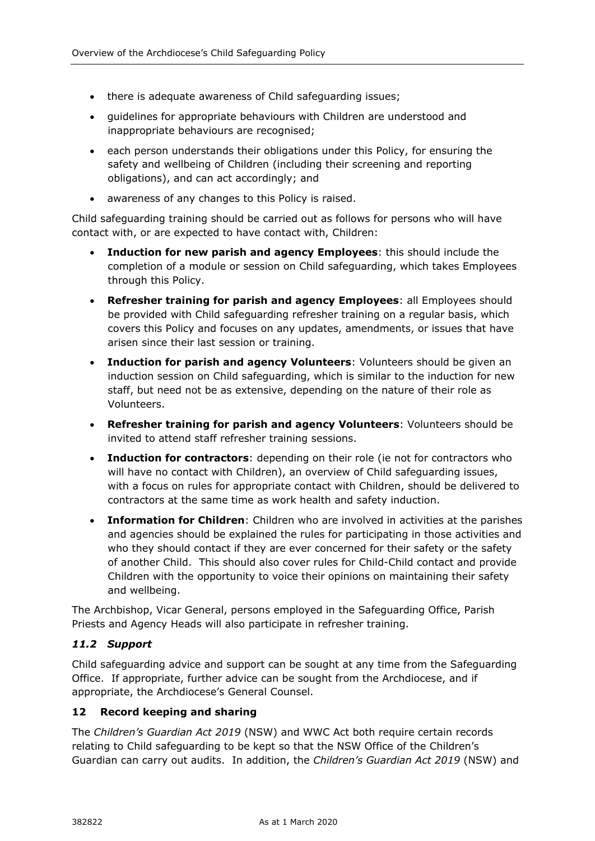- there is adequate awareness of Child safeguarding issues;
- guidelines for appropriate behaviours with Children are understood and inappropriate behaviours are recognised;
- each person understands their obligations under this Policy, for ensuring the safety and wellbeing of Children (including their screening and reporting obligations), and can act accordingly; and
- awareness of any changes to this Policy is raised.

Child safeguarding training should be carried out as follows for persons who will have contact with, or are expected to have contact with, Children:

- **Induction for new parish and agency Employees**: this should include the completion of a module or session on Child safeguarding, which takes Employees through this Policy.
- **Refresher training for parish and agency Employees**: all Employees should be provided with Child safeguarding refresher training on a regular basis, which covers this Policy and focuses on any updates, amendments, or issues that have arisen since their last session or training.
- **Induction for parish and agency Volunteers**: Volunteers should be given an induction session on Child safeguarding, which is similar to the induction for new staff, but need not be as extensive, depending on the nature of their role as Volunteers.
- **Refresher training for parish and agency Volunteers**: Volunteers should be invited to attend staff refresher training sessions.
- **Induction for contractors**: depending on their role (ie not for contractors who will have no contact with Children), an overview of Child safeguarding issues, with a focus on rules for appropriate contact with Children, should be delivered to contractors at the same time as work health and safety induction.
- **Information for Children**: Children who are involved in activities at the parishes and agencies should be explained the rules for participating in those activities and who they should contact if they are ever concerned for their safety or the safety of another Child. This should also cover rules for Child-Child contact and provide Children with the opportunity to voice their opinions on maintaining their safety and wellbeing.

The Archbishop, Vicar General, persons employed in the Safeguarding Office, Parish Priests and Agency Heads will also participate in refresher training.

#### *11.2 Support*

Child safeguarding advice and support can be sought at any time from the Safeguarding Office. If appropriate, further advice can be sought from the Archdiocese, and if appropriate, the Archdiocese's General Counsel.

#### **12 Record keeping and sharing**

The *Children's Guardian Act 2019* (NSW) and WWC Act both require certain records relating to Child safeguarding to be kept so that the NSW Office of the Children's Guardian can carry out audits. In addition, the *Children's Guardian Act 2019* (NSW) and